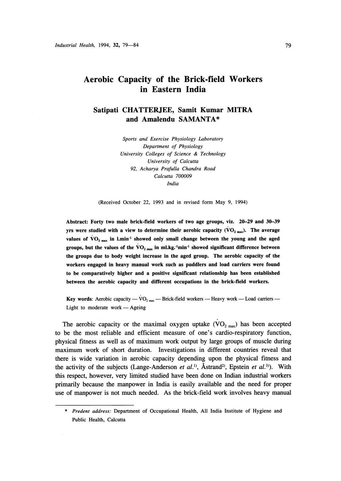# Aerobic Capacity of the Brick-field Workers in Eastern India

Satipati CHATTERJEE, Samit Kumar MITRA and Amalendu SAMANTA\*

> Sports and Exercise Physiology Laboratory Department of Physiology University Colleges of Science & Technology University of Calcutta 92, Acharya Prafulla Chandra Road Calcutta 700009 India

(Received October 22, 1993 and in revised form May 9, 1994)

Abstract: Forty two male brick-field workers of two age groups, viz. 20-29 and 30-39 yrs were studied with a view to determine their aerobic capacity ( $VO_{2\text{ max}}$ ). The average values of  $\rm{VO_{2\,max}}$  in 1.min<sup>-1</sup> showed only small change between the young and the aged groups, but the values of the  $\rm{VO}_{2\text{ max}}$  in ml.kg.<sup>-1</sup>min<sup>-1</sup> showed significant difference between the groups due to body weight increase in the aged group. The aerobic capacity of the workers engaged in heavy manual work such as puddlers and load carriers were found to be comparatively higher and a positive significant relationship has been established between the aerobic capacity and different occupations in the brick-field workers.

Key words: Aerobic capacity —  $\rm{VO}_{2\text{ max}}$  — Brick-field workers — Heavy work — Load carriers — Light to moderate work — Ageing

The aerobic capacity or the maximal oxygen uptake  $(VO_{2 \max})$  has been accepted to be the most reliable and efficient measure of one's cardio-respiratory function, physical fitness as well as of maximum work output by large groups of muscle during maximum work of short duration. Investigations in different countries reveal that there is wide variation in aerobic capacity depending upon the physical fitness and the activity of the subjects (Lange-Anderson *et al.*<sup>1)</sup>, Åstrand<sup>2)</sup>, Epstein *et al.*<sup>3)</sup>). With this respect, however, very limited studied have been done on Indian industrial workers primarily because the manpower in India is easily available and the need for proper use of manpower is not much needed. As the brick-field work involves heavy manual

<sup>\*</sup> Predent address: Department of Occupational Health, All India Institute of Hygiene and Public Health, Calcutta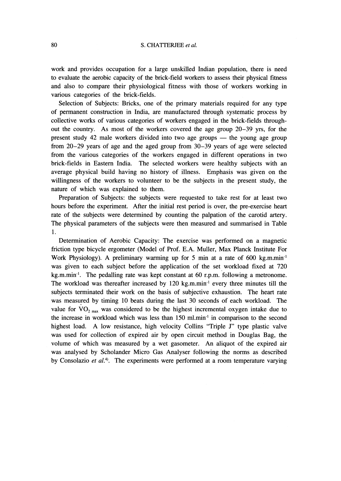# 80 S. CHATTERJEE et al.

work and provides occupation for a large unskilled Indian population, there is need to evaluate the aerobic capacity of the brick-field workers to assess their physical fitness and also to compare their physiological fitness with those of workers working in various categories of the brick-fields.

 Selection of Subjects: Bricks, one of the primary materials required for any type of permanent construction in India, are manufactured through systematic process by collective works of various categories of workers engaged in the brick-fields throughout the country. As most of the workers covered the age group 20-39 yrs, for the present study 42 male workers divided into two age groups  $-$  the young age group from 20-29 years of age and the aged group from 30-39 years of age were selected from the various categories of the workers engaged in different operations in two brick-fields in Eastern India. The selected workers were healthy subjects with an average physical build having no history of illness. Emphasis was given on the willingness of the workers to volunteer to be the subjects in the present study, the nature of which was explained to them.

Preparation of Subjects: the subjects were requested to take rest for at least two hours before the experiment. After the initial rest period is over, the pre-exercise heart rate of the subjects were determined by counting the palpation of the carotid artery. The physical parameters of the subjects were then measured and summarised in Table 1.

 Determination of Aerobic Capacity: The exercise was performed on a magnetic friction type bicycle ergometer (Model of Prof. E.A. Muller, Max Planck Institute For Work Physiology). A preliminary warming up for 5 min at a rate of 600 kg.m.min<sup>-1</sup> was given to each subject before the application of the set workload fixed at 720  $kg.m.min<sup>-1</sup>$ . The pedalling rate was kept constant at 60 r.p.m. following a metronome. The workload was thereafter increased by  $120 \text{ kg.m.m}$  min<sup>-1</sup> every three minutes till the subjects terminated their work on the basis of subjective exhaustion. The heart rate was measured by timing 10 beats during the last 30 seconds of each workload. The value for  $VO_{2\text{ max}}$  was considered to be the highest incremental oxygen intake due to the increase in workload which was less than 150 ml.min<sup>-1</sup> in comparison to the second highest load. A low resistance, high velocity Collins "Triple J" type plastic valve was used for collection of expired air by open circuit method in Douglas Bag, the volume of which was measured by a wet gasometer. An aliquot of the expired air was analysed by Scholander Micro Gas Analyser following the norms as described by Consolazio *et al.*<sup>4</sup>). The experiments were performed at a room temperature varying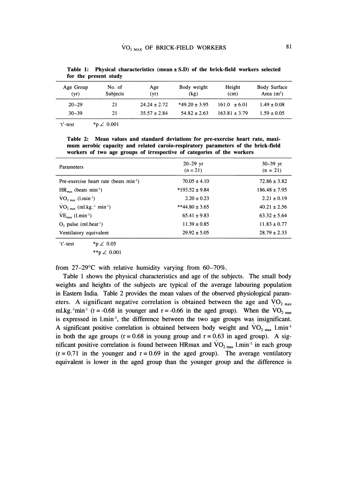| Age Group<br>(vr) | No. of<br>Age<br><b>Subjects</b><br>(vr) |                  | Body weight<br>(kg) | Height<br>(cm)    | <b>Body Surface</b><br>Area $(m2)$ |  |  |
|-------------------|------------------------------------------|------------------|---------------------|-------------------|------------------------------------|--|--|
| $20 - 29$         | 21                                       | $24.24 \pm 2.72$ | $*49.20 \pm 3.95$   | $161.0 \pm 6.01$  | $1.49 \pm 0.08$                    |  |  |
| $30 - 39$         | 21                                       | $35.57 \pm 2.84$ | $54.82 + 2.63$      | $163.81 \pm 3.79$ | $1.59 \pm 0.05$                    |  |  |

Table 1: Physical characteristics (mean  $\pm$  S.D) of the brick-field workers selected for the present study

't'-test \*p  $\angle$  0.001

Table 2: Mean values and standard deviations for pre-exercise heart rate, maximum aerobic capacity and related caroio-respiratory parameters of the brick-field workers of two age groups of irrespective of categories of the workers

| <b>Parameters</b>                                             | $20 - 29$ yr<br>$(n = 21)$ | $30 - 39$ yr<br>$(n = 21)$ |
|---------------------------------------------------------------|----------------------------|----------------------------|
| Pre-exercise heart rate (beats min <sup>-1</sup> )            | $70.05 \pm 4.10$           | $72.86 \pm 3.82$           |
| $HR_{max}$ (beats min <sup>-1</sup> )                         | $*193.52 \pm 9.84$         | $186.48 \pm 7.95$          |
| $VO_{2, max}$ (1.min <sup>-1</sup> )                          | $2.20 \pm 0.23$            | $2.21 \pm 0.19$            |
| $VO_{2 \text{ max}}$ (ml.kg. <sup>1</sup> min <sup>-1</sup> ) | $**44.80 \pm 3.65$         | $40.21 \pm 2.56$           |
| $VE_{\text{max}}$ (l.min <sup>-1</sup> )                      | $65.41 \pm 9.83$           | $63.32 \pm 5.64$           |
| $O_2$ pulse (ml.beat <sup>-1</sup> )                          | $11.39 \pm 0.85$           | $11.83 \pm 0.77$           |
| Ventilatory equivalent                                        | $29.92 \pm 5.05$           | $28.79 \pm 2.33$           |

\*p  $\angle$  0.05  $'t'-test$ 

$$
^{**}\text{p} \angle 0.00
$$

from  $27-29$ °C with relative humidity varying from 60-70%.

Table 1 shows the physical characteristics and age of the subjects. The small body weights and heights of the subjects are typical of the average labouring population in Eastern India. Table 2 provides the mean values of the observed physiological parameters. A significant negative correlation is obtained between the age and  $VO_{2\text{ max}}$ ml.kg.<sup>-1</sup>min<sup>-1</sup> (r = -0.68 in younger and r = -0.66 in the aged group). When the VO<sub>2</sub> max is expressed in 1.min<sup>-1</sup>, the difference between the two age groups was insignificant. A significant positive correlation is obtained between body weight and  $VO_{2 \text{ max}}$  1.min<sup>-1</sup> in both the age groups  $(r = 0.68$  in young group and  $r = 0.63$  in aged group). A significant positive correlation is found between HRmax and  $VO_{2 \text{ max}}$  l.min<sup>-1</sup> in each group  $(r = 0.71)$  in the younger and  $r = 0.69$  in the aged group). The average ventilatory equivalent is lower in the aged group than the younger group and the difference is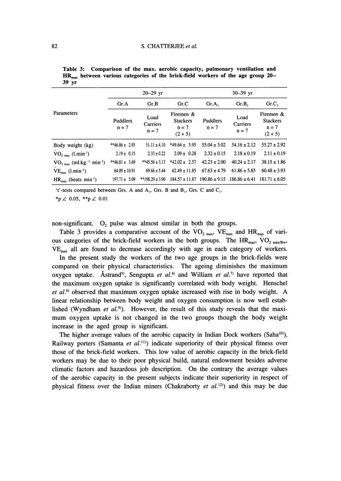|                                                                |                     | $20 - 29$ yr                |                                                      | $30 - 39$ yr        |                             |                                                      |  |  |  |
|----------------------------------------------------------------|---------------------|-----------------------------|------------------------------------------------------|---------------------|-----------------------------|------------------------------------------------------|--|--|--|
|                                                                | Gr.A                | Gr.B                        | Gr.C                                                 | $Gr.A_1$            | Gr.B                        | Gr.C.                                                |  |  |  |
| Parameters                                                     | Puddlers<br>$n = 7$ | Load<br>Carriers<br>$n = 7$ | Firemen &<br><b>Stackers</b><br>$n = 7$<br>$(2 + 5)$ | Puddlers<br>$n = 7$ | Load<br>Carriers<br>$n = 7$ | Firemen &<br><b>Stackers</b><br>$n = 7$<br>$(2 + 5)$ |  |  |  |
| Body weight (kg)                                               | **46.86 ± 2.93      | $51.11 \pm 4.10$            | $*49.64 \pm 3.95$                                    | $55.04 \pm 3.02$    | $54.16 \pm 2.12$            | $55.27 \pm 2.92$                                     |  |  |  |
| $VO_{2, max}$ (1.min <sup>-1</sup> )                           | $2.19 \pm 0.15$     | $2.33 \pm 0.22$             | $2.09 \pm 0.28$                                      | $2.32 \pm 0.15$     | $2.18 \pm 0.19$             | $2.11 \pm 0.19$                                      |  |  |  |
| $VO_{2 \text{ max}}$ (ml.kg. <sup>-1</sup> min <sup>-1</sup> ) | $*46.81 \pm 3.69$   | $**45.56 \pm 3.13$          | $*42.02 \pm 2.57$                                    | $42.23 \pm 2.00$    | $40.24 \pm 2.17$            | $38.15 \pm 1.86$                                     |  |  |  |
| $VE_{max}$ (1.min <sup>-1</sup> )                              | $64.09 \pm 10.91$   | $69.66 \pm 5.44$            | $62.49 \pm 11.85$                                    | $67.63 \pm 4.79$    | $61.86 \pm 5.85$            | $60.48 \pm 3.93$                                     |  |  |  |
| $HR_{max}$ (beats min <sup>-1</sup> )                          | $197.71 \pm 5.09$   | $*198.29 \pm 3.90$          | $184.57 \pm 11.87$                                   | $190.86 \pm 9.15$   | $186.86 \pm 6.41$           | $181.71 \pm 6.05$                                    |  |  |  |

|       | Table 3: Comparison of the max. aerobic capacity, pulmonary ventilation and           |  |  |  |  |  |  |  |
|-------|---------------------------------------------------------------------------------------|--|--|--|--|--|--|--|
|       | $HR_{max}$ between various categories of the brick-field workers of the age group 20– |  |  |  |  |  |  |  |
| 39 vr |                                                                                       |  |  |  |  |  |  |  |

't'-tests compared between Grs. A and  $A_1$ , Grs. B and  $B_1$ , Grs. C and  $C_1$ .

\*p  $\angle$  0.05, \*\*p  $\angle$  0.01

non-significant.  $O_2$  pulse was almost similar in both the groups.

Table 3 provides a comparative account of the  $VO_{2\text{ max}}$ ,  $VE_{\text{max}}$  and  $HR_{\text{max}}$  of various categories of the brick-field workers in the both groups. The  $HR_{max}$ , VO<sub>2 max/Bw</sub>, VEmax all are found to decrease accordingly with age in each category of workers.

In the present study the workers of the two age groups in the brick-fields were compared on their physical characteristics. The ageing diminishes the maximum oxygen uptake. Åstrand<sup>5</sup>, Sengupta *et al.*<sup>6)</sup> and William *et al.*<sup>7)</sup> have reported that the maximum oxygen uptake is significantly correlated with body weight. Henschel et  $al$ <sup>8)</sup> observed that maximum oxygen uptake increased with rise in body weight. A linear relationship between body weight and oxygen consumption is now well established (Wyndham et  $al$ .<sup>9)</sup>). However, the result of this study reveals that the maximum oxygen uptake is not changed in the two groups though the body weight increase in the aged group is significant.

The higher average values of the aerobic capacity in Indian Dock workers (Saha<sup>10</sup>), Railway porters (Samanta et  $al$ <sup>11)</sup>) indicate superiority of their physical fitness over those of the brick-field workers. This low value of aerobic capacity in the brick-field workers may be due to their poor physical build, natural endowment besides adverse climatic factors and hazardous job description. On the contrary the average values of the aerobic capacity in the present subjects indicate their superiority in respect of physical fitness over the Indian miners (Chakraborty *et al.*<sup>12)</sup> and this may be due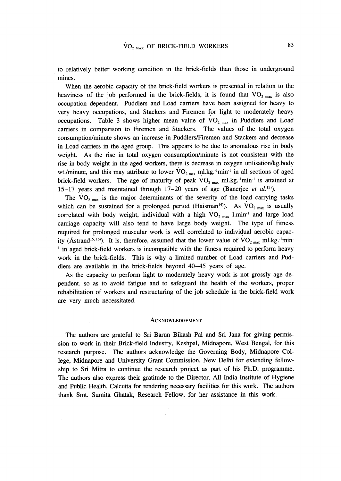to relatively better working condition in the brick-fields than those in underground mines.

When the aerobic capacity of the brick-field workers is presented in relation to the heaviness of the job performed in the brick-fields, it is found that  $VO_{2 \text{ max}}$  is also occupation dependent. Puddlers and Load carriers have been assigned for heavy to very heavy occupations, and Stackers and Firemen for light to moderately heavy occupations. Table 3 shows higher mean value of  $VO_{2 \text{ max}}$  in Puddlers and Load carriers in comparison to Firemen and Stackers. The values of the total oxygen consumption/minute shows an increase in Puddlers/Firemen and Stackers and decrease in Load carriers in the aged group. This appears to be due to anomalous rise in body weight. As the rise in total oxygen consumption/minute is not consistent with the rise in body weight in the aged workers, there is decrease in oxygen utilisation/kg.body wt./minute, and this may attribute to lower  $VO_{2 \text{ max}}$  ml.kg.<sup>-1</sup>min<sup>-1</sup> in all sections of aged brick-field workers. The age of maturity of peak  $VO_{2\text{ max}}$  ml.kg.<sup>1</sup>min<sup>-1</sup> is attained at 15-17 years and maintained through  $17-20$  years of age (Banerjee et al.<sup>13)</sup>).

The  $VO_{2\text{ max}}$  is the major determinants of the severity of the load carrying tasks which can be sustained for a prolonged period (Haisman<sup>14)</sup>). As  $\rm{VO_{2\,max}}$  is usually correlated with body weight, individual with a high  $VO_{2 \text{ max}}$  1.min<sup>-1</sup> and large load carriage capacity will also tend to have large body weight. The type of fitness required for prolonged muscular work is well correlated to individual aerobic capacity (Åstrand<sup>15, 16</sup>). It is, therefore, assumed that the lower value of  $VO_{2\text{ max}}$  ml.kg.<sup>-1</sup>min- $1$  in aged brick-field workers is incompatible with the fitness required to perform heavy work in the brick-fields. This is why a limited number of Load carriers and Puddlers are available in the brick-fields beyond 40-45 years of age.

As the capacity to perform light to moderately heavy work is not grossly age dependent, so as to avoid fatigue and to safeguard the health of the workers, proper rehabilitation of workers and restructuring of the job schedule in the brick-field work are very much necessitated.

## **ACKNOWLEDGEMENT**

The authors are grateful to Sri Barun Bikash Pal and Sri Jana for giving permission to work in their Brick-field Industry, Keshpal, Midnapore, West Bengal, for this research purpose. The authors acknowledge the Governing Body, Midnapore College, Midnapore and University Grant Commission, New Delhi for extending fellowship to Sri Mitra to continue the research project as part of his Ph.D. programme. The authors also express their gratitude to the Director, All India Institute of Hygiene and Public Health, Calcutta for rendering necessary facilities for this work. The authors thank Smt. Sumita Ghatak, Research Fellow, for her assistance in this work.